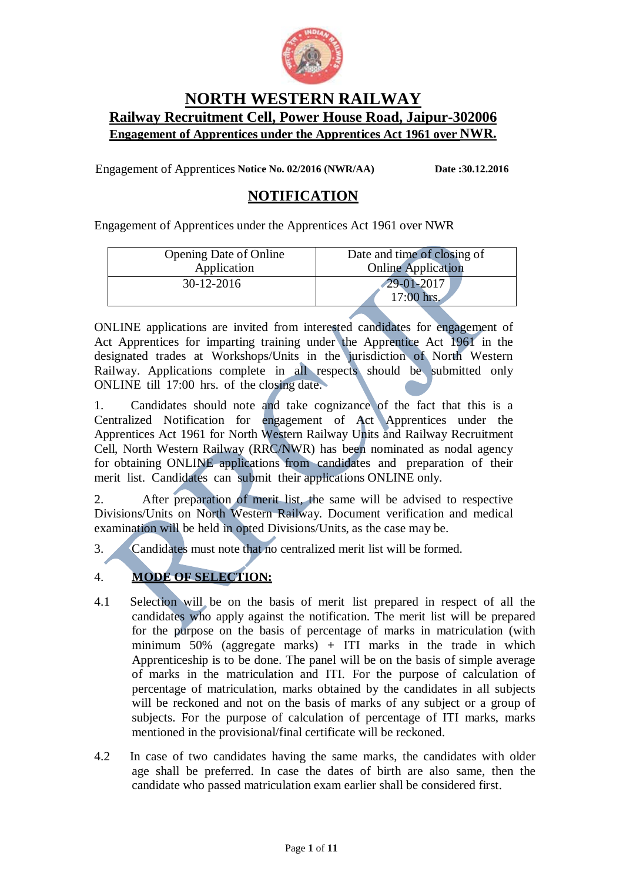

# **NORTH WESTERN RAILWAY Railway Recruitment Cell, Power House Road, Jaipur-302006 Engagement of Apprentices under the Apprentices Act 1961 over NWR.**

Engagement of Apprentices **Notice No. 02/2016 (NWR/AA) Date :30.12.2016**

# **NOTIFICATION**

Engagement of Apprentices under the Apprentices Act 1961 over NWR

| <b>Opening Date of Online</b> | Date and time of closing of    |
|-------------------------------|--------------------------------|
| Application                   | <b>Online Application</b>      |
| $30-12-2016$                  | $29 - 01 - 2017$<br>17:00 hrs. |

ONLINE applications are invited from interested candidates for engagement of Act Apprentices for imparting training under the Apprentice Act 1961 in the designated trades at Workshops/Units in the jurisdiction of North Western Railway. Applications complete in all respects should be submitted only ONLINE till 17:00 hrs. of the closing date.

1. Candidates should note and take cognizance of the fact that this is a Centralized Notification for engagement of Act Apprentices under the Apprentices Act 1961 for North Western Railway Units and Railway Recruitment Cell, North Western Railway (RRC/NWR) has been nominated as nodal agency for obtaining ONLINE applications from candidates and preparation of their merit list. Candidates can submit their applications ONLINE only.

2. After preparation of merit list, the same will be advised to respective Divisions/Units on North Western Railway. Document verification and medical examination will be held in opted Divisions/Units, as the case may be.

3. Candidates must note that no centralized merit list will be formed.

## 4. **MODE OF SELECTION:**

- 4.1 Selection will be on the basis of merit list prepared in respect of all the candidates who apply against the notification. The merit list will be prepared for the purpose on the basis of percentage of marks in matriculation (with minimum 50% (aggregate marks) + ITI marks in the trade in which Apprenticeship is to be done. The panel will be on the basis of simple average of marks in the matriculation and ITI. For the purpose of calculation of percentage of matriculation, marks obtained by the candidates in all subjects will be reckoned and not on the basis of marks of any subject or a group of subjects. For the purpose of calculation of percentage of ITI marks, marks mentioned in the provisional/final certificate will be reckoned.
- 4.2 In case of two candidates having the same marks, the candidates with older age shall be preferred. In case the dates of birth are also same, then the candidate who passed matriculation exam earlier shall be considered first.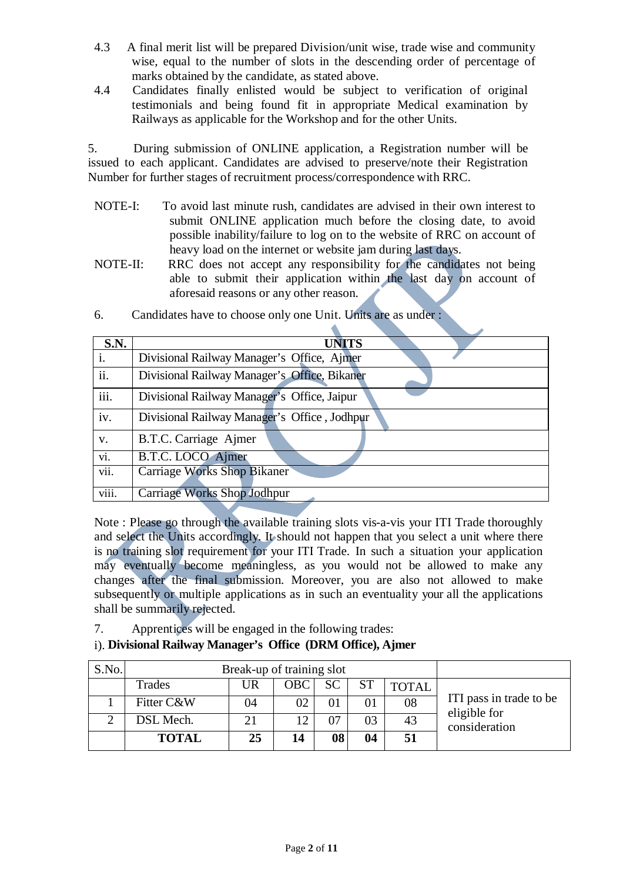- 4.3 A final merit list will be prepared Division/unit wise, trade wise and community wise, equal to the number of slots in the descending order of percentage of marks obtained by the candidate, as stated above.
- 4.4 Candidates finally enlisted would be subject to verification of original testimonials and being found fit in appropriate Medical examination by Railways as applicable for the Workshop and for the other Units.

5. During submission of ONLINE application, a Registration number will be issued to each applicant. Candidates are advised to preserve/note their Registration Number for further stages of recruitment process/correspondence with RRC.

- NOTE-I: To avoid last minute rush, candidates are advised in their own interest to submit ONLINE application much before the closing date, to avoid possible inability/failure to log on to the website of RRC on account of heavy load on the internet or website jam during last days.
- NOTE-II: RRC does not accept any responsibility for the candidates not being able to submit their application within the last day on account of aforesaid reasons or any other reason.

| <b>S.N.</b>       | <b>UNITS</b>                                 |
|-------------------|----------------------------------------------|
| i.                | Divisional Railway Manager's Office, Ajmer   |
| ii.               | Divisional Railway Manager's Office, Bikaner |
| iii.              | Divisional Railway Manager's Office, Jaipur  |
| iv.               | Divisional Railway Manager's Office, Jodhpur |
| V.                | B.T.C. Carriage Ajmer                        |
| $\overline{vi}$ . | B.T.C. LOCO Ajmer                            |
| vii.              | <b>Carriage Works Shop Bikaner</b>           |
| viii.             | <b>Carriage Works Shop Jodhpur</b>           |

6. Candidates have to choose only one Unit. Units are as under :

Note : Please go through the available training slots vis-a-vis your ITI Trade thoroughly and select the Units accordingly. It should not happen that you select a unit where there is no training slot requirement for your ITI Trade. In such a situation your application may eventually become meaningless, as you would not be allowed to make any changes after the final submission. Moreover, you are also not allowed to make subsequently or multiple applications as in such an eventuality your all the applications shall be summarily rejected.

7. Apprentices will be engaged in the following trades:

## i). **Divisional Railway Manager's Office (DRM Office), Ajmer**

| S.No. |              | Break-up of training slot |              |           |           |              |                                         |
|-------|--------------|---------------------------|--------------|-----------|-----------|--------------|-----------------------------------------|
|       | Trades       | UR                        | <b>OBC</b>   | <b>SC</b> | <b>ST</b> | <b>TOTAL</b> |                                         |
|       | Fitter C&W   | 04                        | 02           | 01        | 01        | 08           | ITI pass in trade to be<br>eligible for |
|       | DSL Mech.    |                           | $\mathbf{1}$ | 07        | 03        | 43           | consideration                           |
|       | <b>TOTAL</b> | 25                        | 14           | 08        | 04        | 51           |                                         |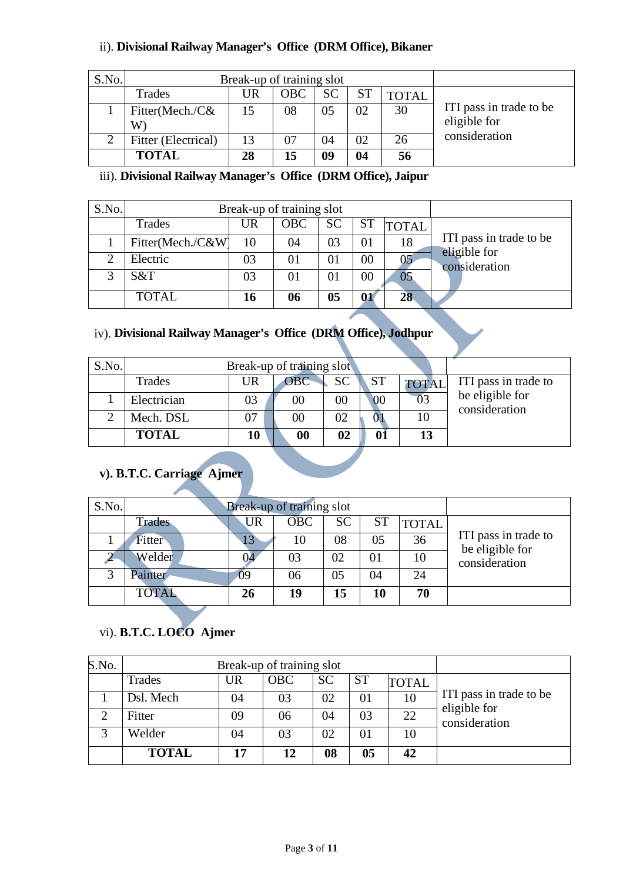## ii). **Divisional Railway Manager's Office (DRM Office), Bikaner**

| S.No. | Break-up of training slot        |    |            |    |           |              |                                         |
|-------|----------------------------------|----|------------|----|-----------|--------------|-----------------------------------------|
|       | Trades                           | UR | <b>OBC</b> | SC | <b>ST</b> | <b>TOTAL</b> |                                         |
|       | Fitter(Mech./C&<br>$\mathrm{W})$ |    | 08         | 05 | 02        | 30           | ITI pass in trade to be<br>eligible for |
| 2     | Fitter (Electrical)              | 13 | 07         | 04 | 02        | 26           | consideration                           |
|       | <b>TOTAL</b>                     | 28 | 15         | 09 | 04        | 56           |                                         |

## iii). **Divisional Railway Manager's Office (DRM Office), Jaipur**

| S.No. | Break-up of training slot |    |     |           |           |              |                               |
|-------|---------------------------|----|-----|-----------|-----------|--------------|-------------------------------|
|       | Trades                    | UR | OBC | <b>SC</b> | <b>ST</b> | <b>TOTAL</b> |                               |
|       | Fitter(Mech./C&W)         | 10 | 04  | 03        | 01        | 18           | ITI pass in trade to be       |
|       | Electric                  | 03 | 01  | 01        | $00\,$    |              | eligible for<br>consideration |
|       | S&T                       | 03 | 01  | 01        | 00        |              |                               |
|       | <b>TOTAL</b>              | 16 | 06  | 05        | 01        | 28           |                               |

## iv). **Divisional Railway Manager's Office (DRM Office), Jodhpur**

| S.No. |              |    | Break-up of training slot |           |           |              |                                  |
|-------|--------------|----|---------------------------|-----------|-----------|--------------|----------------------------------|
|       | Trades       | UR | <b>OBC</b>                | <b>SC</b> | <b>ST</b> | <b>TOTAL</b> | ITI pass in trade to             |
|       | Electrician  | 03 | $00\,$                    | 00        | 00        | 03           | be eligible for<br>consideration |
|       | Mech. DSL    |    | $00\,$                    | 02        |           | 10           |                                  |
|       | <b>TOTAL</b> | 10 | 00                        | 02        | 01        | 13           |                                  |

## **v). B.T.C. Carriage Ajmer**

| S.No. | Break-up of training slot |           |     |           |           |              |                                         |
|-------|---------------------------|-----------|-----|-----------|-----------|--------------|-----------------------------------------|
|       | Trades                    | UR        | OBC | <b>SC</b> | <b>ST</b> | <b>TOTAL</b> |                                         |
|       | <b>Fitter</b>             | 13        | 10  | 08        | 05        | 36           | ITI pass in trade to<br>be eligible for |
|       | Welder                    |           | 03  | 02        | 01        | 10           | consideration                           |
| 3     | Painter                   | 09        | 06  | 05        | 04        | 24           |                                         |
|       | <b>TOTAL</b>              | <b>26</b> | 19  | l5        | 10        | 70           |                                         |

## vi). **B.T.C. LOCO Ajmer**

| S.No. | Break-up of training slot |           |            |           |                |              |                                         |
|-------|---------------------------|-----------|------------|-----------|----------------|--------------|-----------------------------------------|
|       | Trades                    | <b>UR</b> | <b>OBC</b> | <b>SC</b> | <b>ST</b>      | <b>TOTAL</b> |                                         |
|       | Dsl. Mech                 | 04        | 03         | 02        | 01             | 10           | ITI pass in trade to be<br>eligible for |
|       | Fitter                    | 09        | 06         | 04        | 03             | 22           | consideration                           |
|       | Welder                    | 04        | 03         | 02        | 01             | 10           |                                         |
|       | <b>TOTAL</b>              | 17        | 12         | 08        | 0 <sub>5</sub> | 42           |                                         |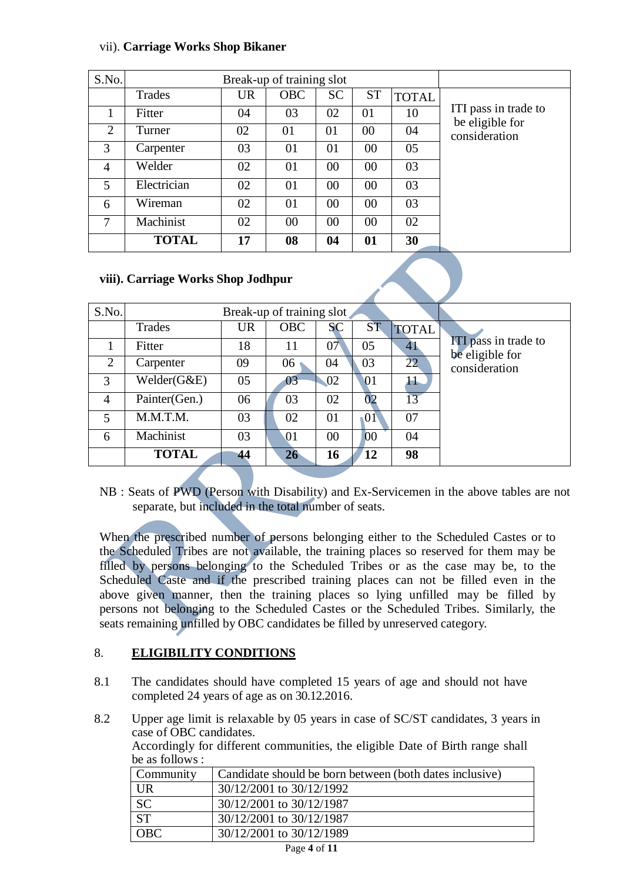#### vii). **Carriage Works Shop Bikaner**

| S.No. |              |           |            |           |           |              |                                         |
|-------|--------------|-----------|------------|-----------|-----------|--------------|-----------------------------------------|
|       | Trades       | <b>UR</b> | <b>OBC</b> | <b>SC</b> | <b>ST</b> | <b>TOTAL</b> |                                         |
|       | Fitter       | 04        | 03         | 02        | 01        | 10           | ITI pass in trade to<br>be eligible for |
| 2     | Turner       | 02        | 01         | 01        | $00\,$    | 04           | consideration                           |
| 3     | Carpenter    | 03        | 01         | 01        | 00        | 05           |                                         |
| 4     | Welder       | 02        | 01         | 00        | 00        | 03           |                                         |
| 5     | Electrician  | 02        | 01         | 00        | 00        | 03           |                                         |
| 6     | Wireman      | 02        | 01         | 00        | 00        | 03           |                                         |
| 7     | Machinist    | 02        | $00\,$     | 00        | 00        | 02           |                                         |
|       | <b>TOTAL</b> | 17        | 08         | 04        | 01        | 30           |                                         |

#### **viii). Carriage Works Shop Jodhpur**

| S.No.          |               |           |            |           |                 |              |                                                |
|----------------|---------------|-----------|------------|-----------|-----------------|--------------|------------------------------------------------|
|                | Trades        | <b>UR</b> | <b>OBC</b> | <b>SC</b> | <b>ST</b>       | <b>TOTAL</b> |                                                |
|                | Fitter        | 18        | 11         | 07        | 05              | 41           | <b>ITI</b> pass in trade to<br>be eligible for |
| 2              | Carpenter     | 09        | 06         | 04        | 03              | 22           | consideration                                  |
| 3              | Welder(G&E)   | 05        | 03         | 02        | $\overline{01}$ | $\bf{H}$     |                                                |
| $\overline{4}$ | Painter(Gen.) | 06        | 03         | 02        | 02              | 13           |                                                |
| 5              | M.M.T.M.      | 03        | 02         | 01        | $\overline{01}$ | 07           |                                                |
| 6              | Machinist     | 03        | 01         | $00\,$    | 00              | 04           |                                                |
|                | <b>TOTAL</b>  | 44        | 26         | 16        | 12              | 98           |                                                |

NB : Seats of PWD (Person with Disability) and Ex-Servicemen in the above tables are not separate, but included in the total number of seats.

When the prescribed number of persons belonging either to the Scheduled Castes or to the Scheduled Tribes are not available, the training places so reserved for them may be filled by persons belonging to the Scheduled Tribes or as the case may be, to the Scheduled Caste and if the prescribed training places can not be filled even in the above given manner, then the training places so lying unfilled may be filled by persons not belonging to the Scheduled Castes or the Scheduled Tribes. Similarly, the seats remaining unfilled by OBC candidates be filled by unreserved category.

## 8. **ELIGIBILITY CONDITIONS**

- 8.1 The candidates should have completed 15 years of age and should not have completed 24 years of age as on 30.12.2016.
- 8.2 Upper age limit is relaxable by 05 years in case of SC/ST candidates, 3 years in case of OBC candidates.

Accordingly for different communities, the eligible Date of Birth range shall be as follows :

| Community  | Candidate should be born between (both dates inclusive) |
|------------|---------------------------------------------------------|
| UR         | 30/12/2001 to 30/12/1992                                |
| <b>SC</b>  | 30/12/2001 to 30/12/1987                                |
| <b>ST</b>  | 30/12/2001 to 30/12/1987                                |
| <b>OBC</b> | 30/12/2001 to 30/12/1989                                |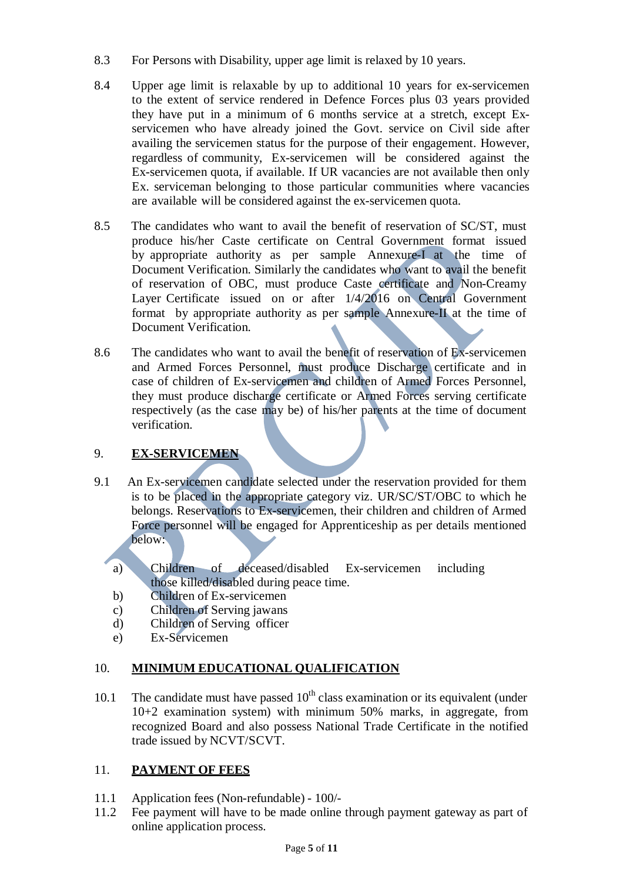- 8.3 For Persons with Disability, upper age limit is relaxed by 10 years.
- 8.4 Upper age limit is relaxable by up to additional 10 years for ex-servicemen to the extent of service rendered in Defence Forces plus 03 years provided they have put in a minimum of 6 months service at a stretch, except Exservicemen who have already joined the Govt. service on Civil side after availing the servicemen status for the purpose of their engagement. However, regardless of community, Ex-servicemen will be considered against the Ex-servicemen quota, if available. If UR vacancies are not available then only Ex. serviceman belonging to those particular communities where vacancies are available will be considered against the ex-servicemen quota.
- 8.5 The candidates who want to avail the benefit of reservation of SC/ST, must produce his/her Caste certificate on Central Government format issued by appropriate authority as per sample Annexure-I at the time of Document Verification. Similarly the candidates who want to avail the benefit of reservation of OBC, must produce Caste certificate and Non-Creamy Layer Certificate issued on or after 1/4/2016 on Central Government format by appropriate authority as per sample Annexure-II at the time of Document Verification.
- 8.6 The candidates who want to avail the benefit of reservation of Ex-servicemen and Armed Forces Personnel, must produce Discharge certificate and in case of children of Ex-servicemen and children of Armed Forces Personnel, they must produce discharge certificate or Armed Forces serving certificate respectively (as the case may be) of his/her parents at the time of document verification.

## 9. **EX-SERVICEMEN**

- 9.1 An Ex-servicemen candidate selected under the reservation provided for them is to be placed in the appropriate category viz. UR/SC/ST/OBC to which he belongs. Reservations to Ex-servicemen, their children and children of Armed Force personnel will be engaged for Apprenticeship as per details mentioned below:
	- a) Children of deceased/disabled Ex-servicemen including those killed/disabled during peace time.
	- b) Children of Ex-servicemen
	- c) Children of Serving jawans
	- d) Children of Serving officer
	- e) Ex-Servicemen

## 10. **MINIMUM EDUCATIONAL QUALIFICATION**

10.1 The candidate must have passed  $10<sup>th</sup>$  class examination or its equivalent (under 10+2 examination system) with minimum 50% marks, in aggregate, from recognized Board and also possess National Trade Certificate in the notified trade issued by NCVT/SCVT.

#### 11. **PAYMENT OF FEES**

- 11.1 Application fees (Non-refundable) 100/-
- 11.2 Fee payment will have to be made online through payment gateway as part of online application process.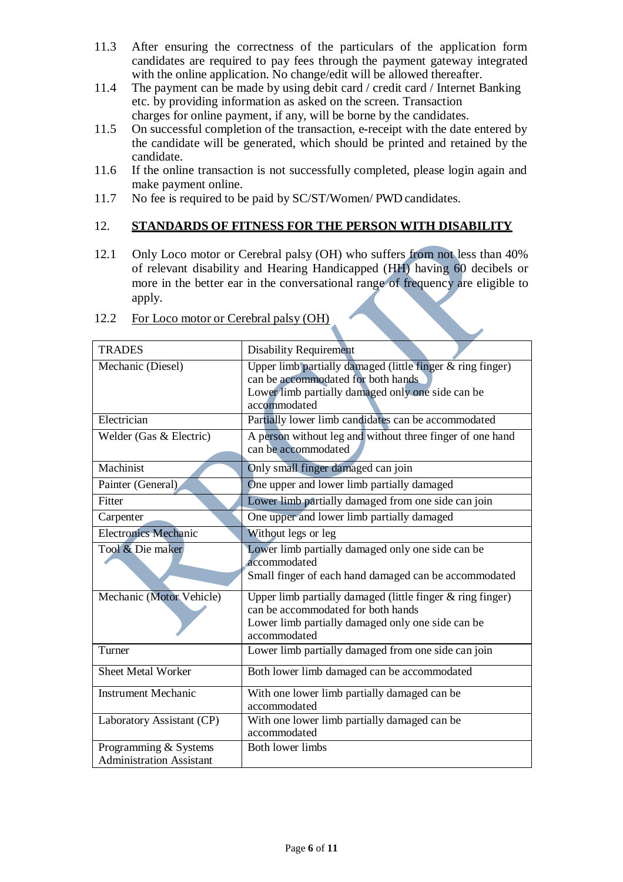- 11.3 After ensuring the correctness of the particulars of the application form candidates are required to pay fees through the payment gateway integrated with the online application. No change/edit will be allowed thereafter.
- 11.4 The payment can be made by using debit card / credit card / Internet Banking etc. by providing information as asked on the screen. Transaction charges for online payment, if any, will be borne by the candidates.
- 11.5 On successful completion of the transaction, e-receipt with the date entered by the candidate will be generated, which should be printed and retained by the candidate.
- 11.6 If the online transaction is not successfully completed, please login again and make payment online.
- 11.7 No fee is required to be paid by SC/ST/Women/ PWD candidates.

#### 12. **STANDARDS OF FITNESS FOR THE PERSON WITH DISABILITY**

12.1 Only Loco motor or Cerebral palsy (OH) who suffers from not less than 40% of relevant disability and Hearing Handicapped (HH) having 60 decibels or more in the better ear in the conversational range of frequency are eligible to apply.

| <b>TRADES</b>                   | <b>Disability Requirement</b>                                                    |
|---------------------------------|----------------------------------------------------------------------------------|
| Mechanic (Diesel)               | Upper limb partially damaged (little finger & ring finger)                       |
|                                 | can be accommodated for both hands.                                              |
|                                 | Lower limb partially damaged only one side can be<br>accommodated                |
| Electrician                     | Partially lower limb candidates can be accommodated                              |
| Welder (Gas & Electric)         | A person without leg and without three finger of one hand<br>can be accommodated |
| Machinist                       | Only small finger damaged can join                                               |
| Painter (General)               | One upper and lower limb partially damaged                                       |
| Fitter                          | Lower limb partially damaged from one side can join                              |
| Carpenter                       | One upper and lower limb partially damaged                                       |
| <b>Electronics Mechanic</b>     | Without legs or leg                                                              |
| Tool & Die maker                | Lower limb partially damaged only one side can be                                |
|                                 | accommodated                                                                     |
|                                 | Small finger of each hand damaged can be accommodated                            |
| Mechanic (Motor Vehicle)        | Upper limb partially damaged (little finger & ring finger)                       |
|                                 | can be accommodated for both hands                                               |
|                                 | Lower limb partially damaged only one side can be<br>accommodated                |
| Turner                          | Lower limb partially damaged from one side can join                              |
|                                 |                                                                                  |
| <b>Sheet Metal Worker</b>       | Both lower limb damaged can be accommodated                                      |
| <b>Instrument Mechanic</b>      | With one lower limb partially damaged can be                                     |
|                                 | accommodated                                                                     |
| Laboratory Assistant (CP)       | With one lower limb partially damaged can be                                     |
|                                 | accommodated                                                                     |
| Programming & Systems           | <b>Both lower limbs</b>                                                          |
| <b>Administration Assistant</b> |                                                                                  |

12.2 For Loco motor or Cerebral palsy (OH)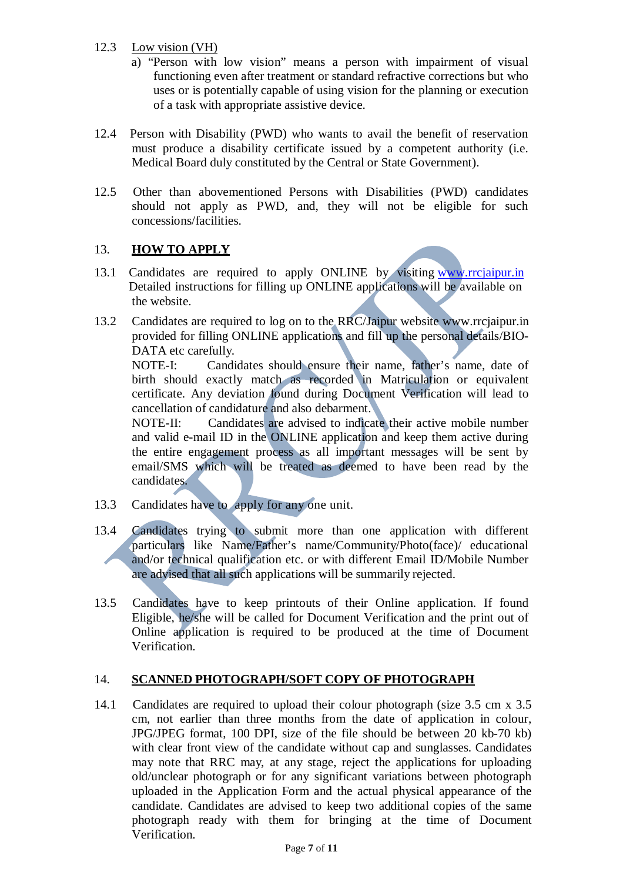#### 12.3 Low vision (VH)

- a) "Person with low vision" means a person with impairment of visual functioning even after treatment or standard refractive corrections but who uses or is potentially capable of using vision for the planning or execution of a task with appropriate assistive device.
- 12.4 Person with Disability (PWD) who wants to avail the benefit of reservation must produce a disability certificate issued by a competent authority (i.e. Medical Board duly constituted by the Central or State Government).
- 12.5 Other than abovementioned Persons with Disabilities (PWD) candidates should not apply as PWD, and, they will not be eligible for such concessions/facilities.

#### 13. **HOW TO APPLY**

- 13.1 Candidates are required to apply ONLINE by visiting [www.rrcjaipur.in](http://www.rrcjaipur.in/) Detailed instructions for filling up ONLINE applications will be available on the website.
- 13.2 Candidates are required to log on to the RRC/Jaipur website www.rrcjaipur.in provided for filling ONLINE applications and fill up the personal details/BIO-DATA etc carefully.

NOTE-I: Candidates should ensure their name, father's name, date of birth should exactly match as recorded in Matriculation or equivalent certificate. Any deviation found during Document Verification will lead to cancellation of candidature and also debarment.

NOTE-II: Candidates are advised to indicate their active mobile number and valid e-mail ID in the ONLINE application and keep them active during the entire engagement process as all important messages will be sent by email/SMS which will be treated as deemed to have been read by the candidates.

- 13.3 Candidates have to apply for any one unit.
- 13.4 Candidates trying to submit more than one application with different particulars like Name/Father's name/Community/Photo(face)/ educational and/or technical qualification etc. or with different Email ID/Mobile Number are advised that all such applications will be summarily rejected.
- 13.5 Candidates have to keep printouts of their Online application. If found Eligible, he/she will be called for Document Verification and the print out of Online application is required to be produced at the time of Document Verification.

#### 14. **SCANNED PHOTOGRAPH/SOFT COPY OF PHOTOGRAPH**

14.1 Candidates are required to upload their colour photograph (size 3.5 cm x 3.5 cm, not earlier than three months from the date of application in colour, JPG/JPEG format, 100 DPI, size of the file should be between 20 kb-70 kb) with clear front view of the candidate without cap and sunglasses. Candidates may note that RRC may, at any stage, reject the applications for uploading old/unclear photograph or for any significant variations between photograph uploaded in the Application Form and the actual physical appearance of the candidate. Candidates are advised to keep two additional copies of the same photograph ready with them for bringing at the time of Document Verification.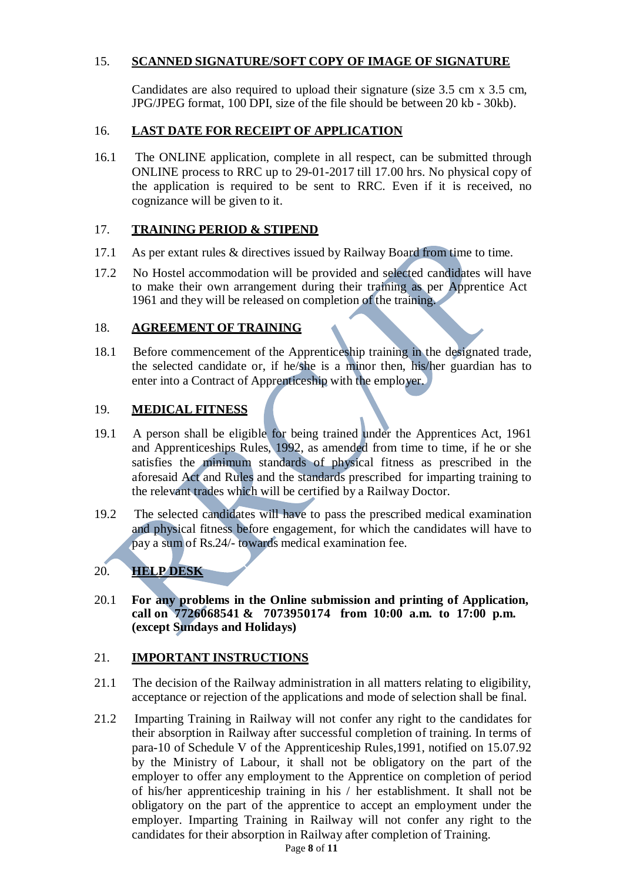#### 15. **SCANNED SIGNATURE/SOFT COPY OF IMAGE OF SIGNATURE**

Candidates are also required to upload their signature (size 3.5 cm x 3.5 cm, JPG/JPEG format, 100 DPI, size of the file should be between 20 kb - 30kb).

#### 16. **LAST DATE FOR RECEIPT OF APPLICATION**

16.1 The ONLINE application, complete in all respect, can be submitted through ONLINE process to RRC up to 29-01-2017 till 17.00 hrs. No physical copy of the application is required to be sent to RRC. Even if it is received, no cognizance will be given to it.

#### 17. **TRAINING PERIOD & STIPEND**

- 17.1 As per extant rules & directives issued by Railway Board from time to time.
- 17.2 No Hostel accommodation will be provided and selected candidates will have to make their own arrangement during their training as per Apprentice Act 1961 and they will be released on completion of the training.

#### 18. **AGREEMENT OF TRAINING**

18.1 Before commencement of the Apprenticeship training in the designated trade, the selected candidate or, if he/she is a minor then, his/her guardian has to enter into a Contract of Apprenticeship with the employer.

#### 19. **MEDICAL FITNESS**

- 19.1 A person shall be eligible for being trained under the Apprentices Act, 1961 and Apprenticeships Rules, 1992, as amended from time to time, if he or she satisfies the minimum standards of physical fitness as prescribed in the aforesaid Act and Rules and the standards prescribed for imparting training to the relevant trades which will be certified by a Railway Doctor.
- 19.2 The selected candidates will have to pass the prescribed medical examination and physical fitness before engagement, for which the candidates will have to pay a sum of Rs.24/- towards medical examination fee.

#### 20. **HELP DESK**

20.1 **For any problems in the Online submission and printing of Application, call on 7726068541 & 7073950174 from 10:00 a.m. to 17:00 p.m. (except Sundays and Holidays)**

#### 21. **IMPORTANT INSTRUCTIONS**

- 21.1 The decision of the Railway administration in all matters relating to eligibility, acceptance or rejection of the applications and mode of selection shall be final.
- 21.2 Imparting Training in Railway will not confer any right to the candidates for their absorption in Railway after successful completion of training. In terms of para-10 of Schedule V of the Apprenticeship Rules,1991, notified on 15.07.92 by the Ministry of Labour, it shall not be obligatory on the part of the employer to offer any employment to the Apprentice on completion of period of his/her apprenticeship training in his / her establishment. It shall not be obligatory on the part of the apprentice to accept an employment under the employer. Imparting Training in Railway will not confer any right to the candidates for their absorption in Railway after completion of Training.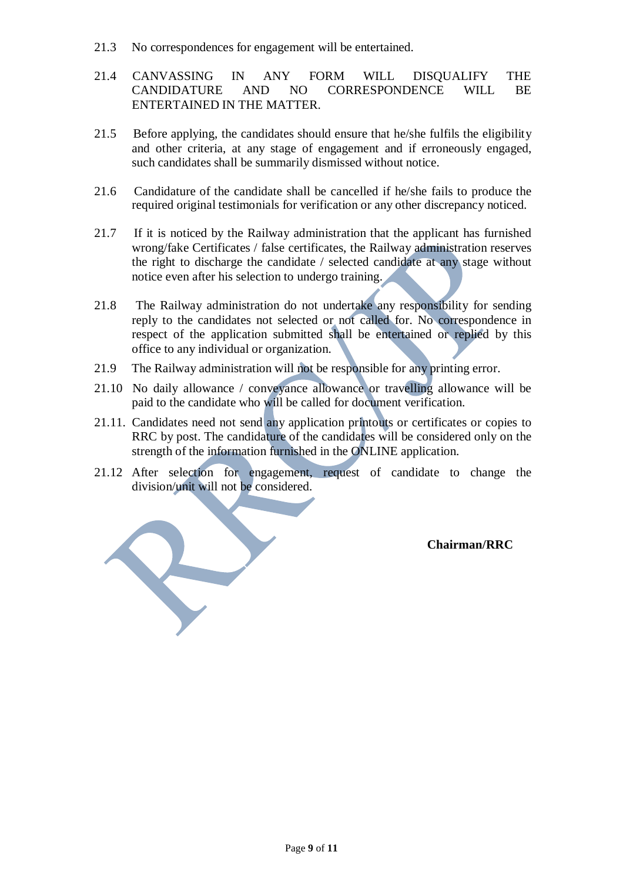- 21.3 No correspondences for engagement will be entertained.
- 21.4 CANVASSING IN ANY FORM WILL DISQUALIFY THE CANDIDATURE AND NO CORRESPONDENCE WILL BE ENTERTAINED IN THE MATTER.
- 21.5 Before applying, the candidates should ensure that he/she fulfils the eligibility and other criteria, at any stage of engagement and if erroneously engaged, such candidates shall be summarily dismissed without notice.
- 21.6 Candidature of the candidate shall be cancelled if he/she fails to produce the required original testimonials for verification or any other discrepancy noticed.
- 21.7 If it is noticed by the Railway administration that the applicant has furnished wrong/fake Certificates / false certificates, the Railway administration reserves the right to discharge the candidate / selected candidate at any stage without notice even after his selection to undergo training.
- 21.8 The Railway administration do not undertake any responsibility for sending reply to the candidates not selected or not called for. No correspondence in respect of the application submitted shall be entertained or replied by this office to any individual or organization.
- 21.9 The Railway administration will not be responsible for any printing error.
- 21.10 No daily allowance / conveyance allowance or travelling allowance will be paid to the candidate who will be called for document verification.
- 21.11. Candidates need not send any application printouts or certificates or copies to RRC by post. The candidature of the candidates will be considered only on the strength of the information furnished in the ONLINE application.
- 21.12 After selection for engagement, request of candidate to change the division/unit will not be considered.

**Chairman/RRC**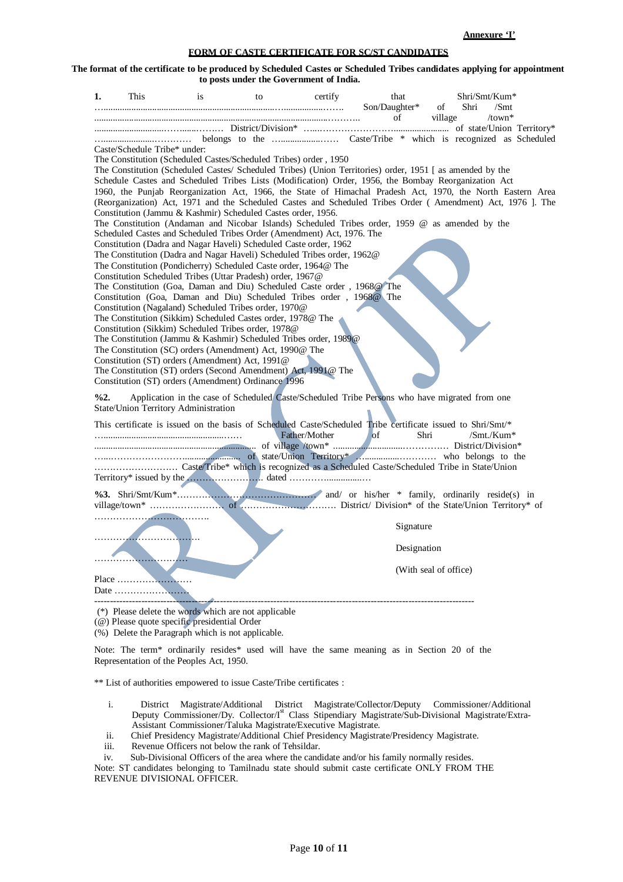**Annexure 'I'**

#### **FORM OF CASTE CERTIFICATE FOR SC/ST CANDIDATES**

The format of the certificate to be produced by Scheduled Castes or Scheduled Tribes candidates applying for appointment **to posts under the Government of India.**

| 1.                                                                                                                                                                                                               | This                                                                                                                    | is                                                                                                     | to | certify | that                | Shri/Smt/Kum*                                                                                 |  |  |  |  |
|------------------------------------------------------------------------------------------------------------------------------------------------------------------------------------------------------------------|-------------------------------------------------------------------------------------------------------------------------|--------------------------------------------------------------------------------------------------------|----|---------|---------------------|-----------------------------------------------------------------------------------------------|--|--|--|--|
|                                                                                                                                                                                                                  |                                                                                                                         |                                                                                                        |    |         | Son/Daughter*<br>of | of<br>Shri<br>$\sqrt{\text{Smt}}$<br>$/$ town*<br>village                                     |  |  |  |  |
|                                                                                                                                                                                                                  |                                                                                                                         |                                                                                                        |    |         |                     |                                                                                               |  |  |  |  |
|                                                                                                                                                                                                                  |                                                                                                                         |                                                                                                        |    |         |                     |                                                                                               |  |  |  |  |
| Caste/Schedule Tribe* under:                                                                                                                                                                                     |                                                                                                                         |                                                                                                        |    |         |                     |                                                                                               |  |  |  |  |
| The Constitution (Scheduled Castes/Scheduled Tribes) order, 1950                                                                                                                                                 |                                                                                                                         |                                                                                                        |    |         |                     |                                                                                               |  |  |  |  |
| The Constitution (Scheduled Castes/ Scheduled Tribes) (Union Territories) order, 1951 [as amended by the<br>Schedule Castes and Scheduled Tribes Lists (Modification) Order, 1956, the Bombay Reorganization Act |                                                                                                                         |                                                                                                        |    |         |                     |                                                                                               |  |  |  |  |
| 1960, the Punjab Reorganization Act, 1966, the State of Himachal Pradesh Act, 1970, the North Eastern Area                                                                                                       |                                                                                                                         |                                                                                                        |    |         |                     |                                                                                               |  |  |  |  |
| (Reorganization) Act, 1971 and the Scheduled Castes and Scheduled Tribes Order (Amendment) Act, 1976 ]. The                                                                                                      |                                                                                                                         |                                                                                                        |    |         |                     |                                                                                               |  |  |  |  |
| Constitution (Jammu & Kashmir) Scheduled Castes order, 1956.                                                                                                                                                     |                                                                                                                         |                                                                                                        |    |         |                     |                                                                                               |  |  |  |  |
| The Constitution (Andaman and Nicobar Islands) Scheduled Tribes order, 1959 @ as amended by the                                                                                                                  |                                                                                                                         |                                                                                                        |    |         |                     |                                                                                               |  |  |  |  |
| Scheduled Castes and Scheduled Tribes Order (Amendment) Act, 1976. The                                                                                                                                           |                                                                                                                         |                                                                                                        |    |         |                     |                                                                                               |  |  |  |  |
| Constitution (Dadra and Nagar Haveli) Scheduled Caste order, 1962                                                                                                                                                |                                                                                                                         |                                                                                                        |    |         |                     |                                                                                               |  |  |  |  |
| The Constitution (Dadra and Nagar Haveli) Scheduled Tribes order, 1962@<br>The Constitution (Pondicherry) Scheduled Caste order, 1964@ The                                                                       |                                                                                                                         |                                                                                                        |    |         |                     |                                                                                               |  |  |  |  |
| Constitution Scheduled Tribes (Uttar Pradesh) order, 1967@                                                                                                                                                       |                                                                                                                         |                                                                                                        |    |         |                     |                                                                                               |  |  |  |  |
| The Constitution (Goa, Daman and Diu) Scheduled Caste order, 1968@ The                                                                                                                                           |                                                                                                                         |                                                                                                        |    |         |                     |                                                                                               |  |  |  |  |
|                                                                                                                                                                                                                  | Constitution (Goa, Daman and Diu) Scheduled Tribes order, 1968@ The                                                     |                                                                                                        |    |         |                     |                                                                                               |  |  |  |  |
|                                                                                                                                                                                                                  |                                                                                                                         | Constitution (Nagaland) Scheduled Tribes order, 1970@                                                  |    |         |                     |                                                                                               |  |  |  |  |
|                                                                                                                                                                                                                  |                                                                                                                         | The Constitution (Sikkim) Scheduled Castes order, 1978@ The                                            |    |         |                     |                                                                                               |  |  |  |  |
|                                                                                                                                                                                                                  | Constitution (Sikkim) Scheduled Tribes order, 1978@<br>The Constitution (Jammu & Kashmir) Scheduled Tribes order, 1989@ |                                                                                                        |    |         |                     |                                                                                               |  |  |  |  |
|                                                                                                                                                                                                                  | The Constitution (SC) orders (Amendment) Act, 1990@ The                                                                 |                                                                                                        |    |         |                     |                                                                                               |  |  |  |  |
|                                                                                                                                                                                                                  | Constitution (ST) orders (Amendment) Act, 1991@                                                                         |                                                                                                        |    |         |                     |                                                                                               |  |  |  |  |
|                                                                                                                                                                                                                  |                                                                                                                         | The Constitution (ST) orders (Second Amendment) Act, 1991@ The                                         |    |         |                     |                                                                                               |  |  |  |  |
|                                                                                                                                                                                                                  |                                                                                                                         | Constitution (ST) orders (Amendment) Ordinance 1996                                                    |    |         |                     |                                                                                               |  |  |  |  |
| $\frac{62}{3}$                                                                                                                                                                                                   |                                                                                                                         |                                                                                                        |    |         |                     | Application in the case of Scheduled Caste/Scheduled Tribe Persons who have migrated from one |  |  |  |  |
|                                                                                                                                                                                                                  |                                                                                                                         | State/Union Territory Administration                                                                   |    |         |                     |                                                                                               |  |  |  |  |
|                                                                                                                                                                                                                  |                                                                                                                         |                                                                                                        |    |         |                     |                                                                                               |  |  |  |  |
| This certificate is issued on the basis of Scheduled Caste/Scheduled Tribe certificate issued to Shri/Smt/*<br>Father/Mother<br>of<br>Shri<br>$\mathrm{Smt.}/\mathrm{Kum}^*$                                     |                                                                                                                         |                                                                                                        |    |         |                     |                                                                                               |  |  |  |  |
|                                                                                                                                                                                                                  |                                                                                                                         |                                                                                                        |    |         |                     |                                                                                               |  |  |  |  |
|                                                                                                                                                                                                                  |                                                                                                                         |                                                                                                        |    |         |                     |                                                                                               |  |  |  |  |
|                                                                                                                                                                                                                  |                                                                                                                         |                                                                                                        |    |         |                     |                                                                                               |  |  |  |  |
|                                                                                                                                                                                                                  |                                                                                                                         |                                                                                                        |    |         |                     |                                                                                               |  |  |  |  |
|                                                                                                                                                                                                                  |                                                                                                                         |                                                                                                        |    |         |                     |                                                                                               |  |  |  |  |
|                                                                                                                                                                                                                  |                                                                                                                         |                                                                                                        |    |         |                     |                                                                                               |  |  |  |  |
|                                                                                                                                                                                                                  |                                                                                                                         |                                                                                                        |    |         |                     |                                                                                               |  |  |  |  |
|                                                                                                                                                                                                                  |                                                                                                                         |                                                                                                        |    |         | Signature           |                                                                                               |  |  |  |  |
|                                                                                                                                                                                                                  |                                                                                                                         |                                                                                                        |    |         | Designation         |                                                                                               |  |  |  |  |
|                                                                                                                                                                                                                  |                                                                                                                         |                                                                                                        |    |         |                     |                                                                                               |  |  |  |  |
|                                                                                                                                                                                                                  |                                                                                                                         |                                                                                                        |    |         |                     | (With seal of office)                                                                         |  |  |  |  |
|                                                                                                                                                                                                                  |                                                                                                                         |                                                                                                        |    |         |                     |                                                                                               |  |  |  |  |
|                                                                                                                                                                                                                  |                                                                                                                         |                                                                                                        |    |         |                     |                                                                                               |  |  |  |  |
|                                                                                                                                                                                                                  |                                                                                                                         |                                                                                                        |    |         |                     |                                                                                               |  |  |  |  |
|                                                                                                                                                                                                                  |                                                                                                                         | (*) Please delete the words which are not applicable<br>$(a)$ Places quote quoditio quodidantial Oudar |    |         |                     |                                                                                               |  |  |  |  |

(@) Please quote specific presidential Order

(%) Delete the Paragraph which is not applicable.

Note: The term\* ordinarily resides\* used will have the same meaning as in Section 20 of the Representation of the Peoples Act, 1950.

\*\* List of authorities empowered to issue Caste/Tribe certificates :

- i. District Magistrate/Additional District Magistrate/Collector/Deputy Commissioner/Additional Deputy Commissioner/Dy. Collector/I<sup>st</sup> Class Stipendiary Magistrate/Sub-Divisional Magistrate/Extra-Assistant Commissioner/Taluka Magistrate/Executive Magistrate.
- ii. Chief Presidency Magistrate/Additional Chief Presidency Magistrate/Presidency Magistrate.
- iii. Revenue Officers not below the rank of Tehsildar.

iv. Sub-Divisional Officers of the area where the candidate and/or his family normally resides.

Note: ST candidates belonging to Tamilnadu state should submit caste certificate ONLY FROM THE REVENUE DIVISIONAL OFFICER.